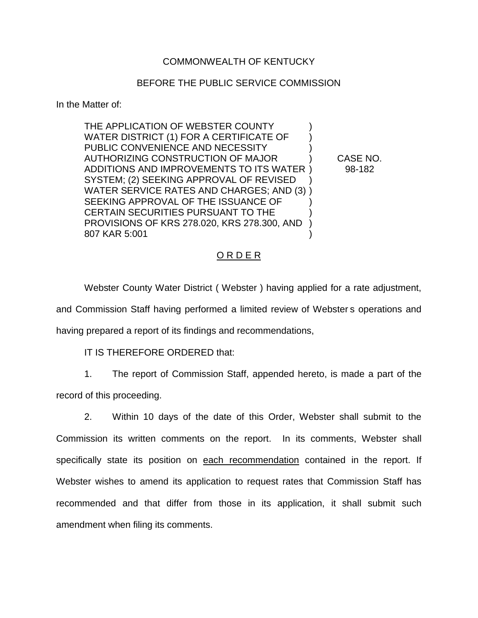### COMMONWEALTH OF KENTUCKY

#### BEFORE THE PUBLIC SERVICE COMMISSION

In the Matter of:

THE APPLICATION OF WEBSTER COUNTY WATER DISTRICT (1) FOR A CERTIFICATE OF PUBLIC CONVENIENCE AND NECESSITY AUTHORIZING CONSTRUCTION OF MAJOR ) CASE NO. ADDITIONS AND IMPROVEMENTS TO ITS WATER ) 98-182 SYSTEM; (2) SEEKING APPROVAL OF REVISED ) WATER SERVICE RATES AND CHARGES; AND (3) ) SEEKING APPROVAL OF THE ISSUANCE OF CERTAIN SECURITIES PURSUANT TO THE ) PROVISIONS OF KRS 278.020, KRS 278.300, AND ) 807 KAR 5:001 )

### ORDER

Webster County Water District ( Webster ) having applied for a rate adjustment, and Commission Staff having performed a limited review of Webster s operations and having prepared a report of its findings and recommendations,

IT IS THEREFORE ORDERED that:

1. The report of Commission Staff, appended hereto, is made a part of the record of this proceeding.

2. Within 10 days of the date of this Order, Webster shall submit to the Commission its written comments on the report. In its comments, Webster shall specifically state its position on each recommendation contained in the report. If Webster wishes to amend its application to request rates that Commission Staff has recommended and that differ from those in its application, it shall submit such amendment when filing its comments.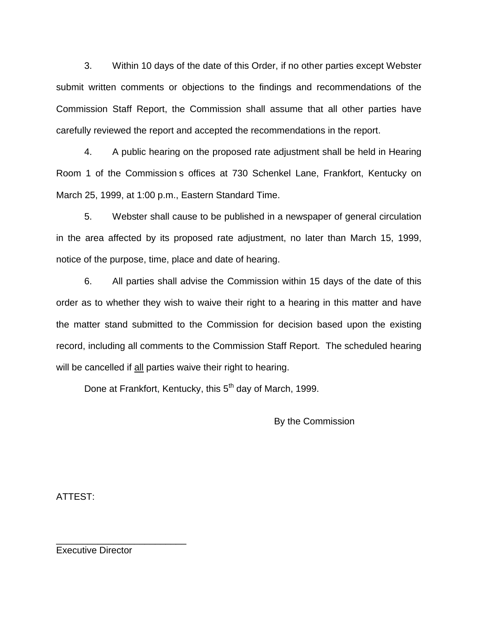3. Within 10 days of the date of this Order, if no other parties except Webster submit written comments or objections to the findings and recommendations of the Commission Staff Report, the Commission shall assume that all other parties have carefully reviewed the report and accepted the recommendations in the report.

4. A public hearing on the proposed rate adjustment shall be held in Hearing Room 1 of the Commission s offices at 730 Schenkel Lane, Frankfort, Kentucky on March 25, 1999, at 1:00 p.m., Eastern Standard Time.

5. Webster shall cause to be published in a newspaper of general circulation in the area affected by its proposed rate adjustment, no later than March 15, 1999, notice of the purpose, time, place and date of hearing.

6. All parties shall advise the Commission within 15 days of the date of this order as to whether they wish to waive their right to a hearing in this matter and have the matter stand submitted to the Commission for decision based upon the existing record, including all comments to the Commission Staff Report. The scheduled hearing will be cancelled if all parties waive their right to hearing.

Done at Frankfort, Kentucky, this 5<sup>th</sup> day of March, 1999.

By the Commission

ATTEST:

Executive Director

\_\_\_\_\_\_\_\_\_\_\_\_\_\_\_\_\_\_\_\_\_\_\_\_\_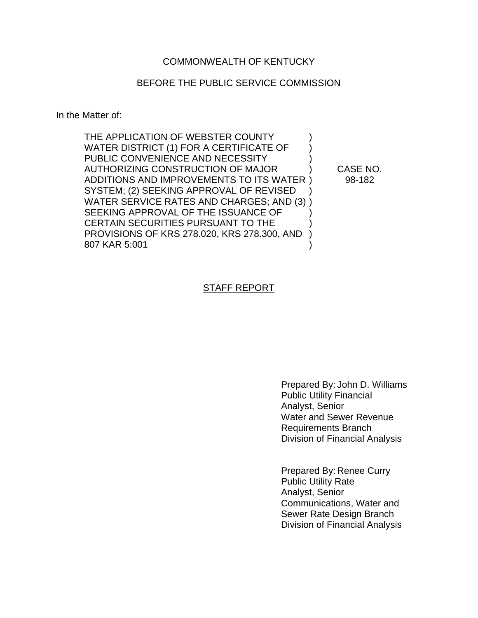### BEFORE THE PUBLIC SERVICE COMMISSION

In the Matter of:

| THE APPLICATION OF WEBSTER COUNTY           |          |
|---------------------------------------------|----------|
| WATER DISTRICT (1) FOR A CERTIFICATE OF     |          |
| PUBLIC CONVENIENCE AND NECESSITY            |          |
| AUTHORIZING CONSTRUCTION OF MAJOR           | CASE NO. |
| ADDITIONS AND IMPROVEMENTS TO ITS WATER)    | 98-182   |
| SYSTEM; (2) SEEKING APPROVAL OF REVISED     |          |
| WATER SERVICE RATES AND CHARGES; AND (3))   |          |
| SEEKING APPROVAL OF THE ISSUANCE OF         |          |
| CERTAIN SECURITIES PURSUANT TO THE          |          |
| PROVISIONS OF KRS 278.020, KRS 278.300, AND |          |
| 807 KAR 5:001                               |          |

### STAFF REPORT

Prepared By: John D. Williams Public Utility Financial Analyst, Senior Water and Sewer Revenue Requirements Branch Division of Financial Analysis

Prepared By: Renee Curry Public Utility Rate Analyst, Senior Communications, Water and Sewer Rate Design Branch Division of Financial Analysis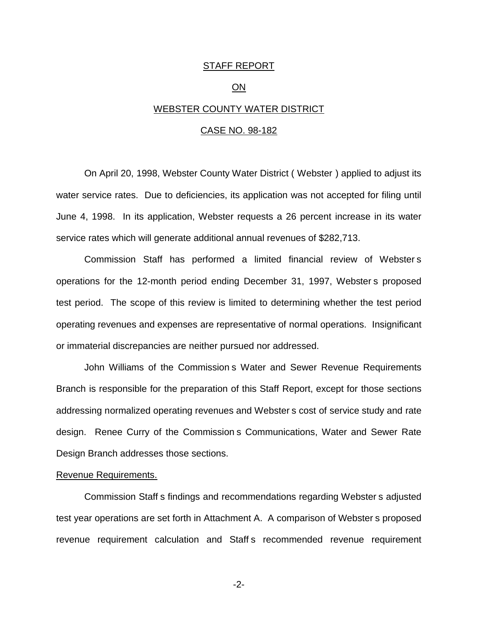#### STAFF REPORT

#### ON

#### WEBSTER COUNTY WATER DISTRICT

#### CASE NO. 98-182

On April 20, 1998, Webster County Water District ( Webster ) applied to adjust its water service rates. Due to deficiencies, its application was not accepted for filing until June 4, 1998. In its application, Webster requests a 26 percent increase in its water service rates which will generate additional annual revenues of \$282,713.

Commission Staff has performed a limited financial review of Webster s operations for the 12-month period ending December 31, 1997, Webster s proposed test period. The scope of this review is limited to determining whether the test period operating revenues and expenses are representative of normal operations. Insignificant or immaterial discrepancies are neither pursued nor addressed.

John Williams of the Commission s Water and Sewer Revenue Requirements Branch is responsible for the preparation of this Staff Report, except for those sections addressing normalized operating revenues and Webster s cost of service study and rate design. Renee Curry of the Commission s Communications, Water and Sewer Rate Design Branch addresses those sections.

#### Revenue Requirements.

Commission Staff s findings and recommendations regarding Webster s adjusted test year operations are set forth in Attachment A. A comparison of Webster s proposed revenue requirement calculation and Staff s recommended revenue requirement

-2-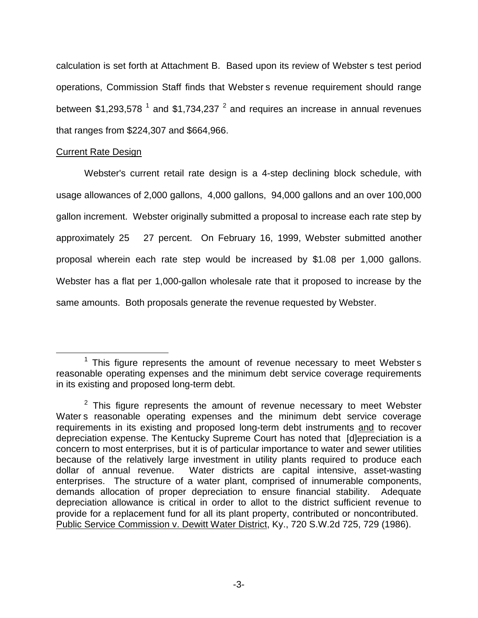calculation is set forth at Attachment B. Based upon its review of Webster s test period operations, Commission Staff finds that Webster s revenue requirement should range between  $$1,293,578$ <sup>1</sup> and  $$1,734,237$ <sup>2</sup> and requires an increase in annual revenues that ranges from \$224,307 and \$664,966.

### Current Rate Design

Webster's current retail rate design is a 4-step declining block schedule, with usage allowances of 2,000 gallons, 4,000 gallons, 94,000 gallons and an over 100,000 gallon increment. Webster originally submitted a proposal to increase each rate step by approximately 25 27 percent. On February 16, 1999, Webster submitted another proposal wherein each rate step would be increased by \$1.08 per 1,000 gallons. Webster has a flat per 1,000-gallon wholesale rate that it proposed to increase by the same amounts. Both proposals generate the revenue requested by Webster.

 $1$  This figure represents the amount of revenue necessary to meet Websters reasonable operating expenses and the minimum debt service coverage requirements in its existing and proposed long-term debt.

 $2$  This figure represents the amount of revenue necessary to meet Webster Water s reasonable operating expenses and the minimum debt service coverage requirements in its existing and proposed long-term debt instruments and to recover depreciation expense. The Kentucky Supreme Court has noted that [d]epreciation is a concern to most enterprises, but it is of particular importance to water and sewer utilities because of the relatively large investment in utility plants required to produce each dollar of annual revenue. Water districts are capital intensive, asset-wasting enterprises. The structure of a water plant, comprised of innumerable components, demands allocation of proper depreciation to ensure financial stability. Adequate depreciation allowance is critical in order to allot to the district sufficient revenue to provide for a replacement fund for all its plant property, contributed or noncontributed. Public Service Commission v. Dewitt Water District, Ky., 720 S.W.2d 725, 729 (1986).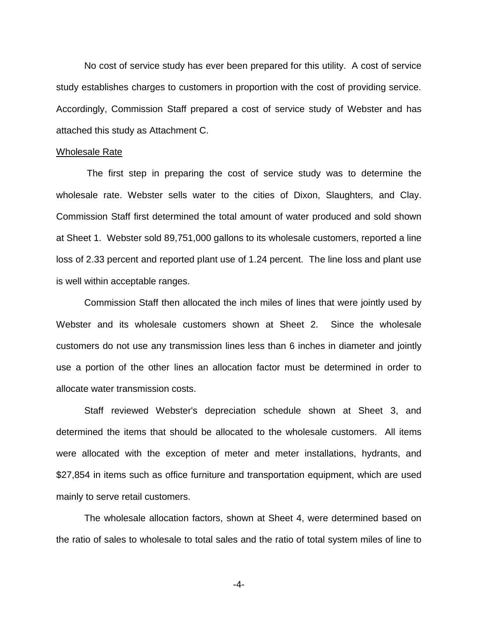No cost of service study has ever been prepared for this utility. A cost of service study establishes charges to customers in proportion with the cost of providing service. Accordingly, Commission Staff prepared a cost of service study of Webster and has attached this study as Attachment C.

#### Wholesale Rate

The first step in preparing the cost of service study was to determine the wholesale rate. Webster sells water to the cities of Dixon, Slaughters, and Clay. Commission Staff first determined the total amount of water produced and sold shown at Sheet 1. Webster sold 89,751,000 gallons to its wholesale customers, reported a line loss of 2.33 percent and reported plant use of 1.24 percent. The line loss and plant use is well within acceptable ranges.

Commission Staff then allocated the inch miles of lines that were jointly used by Webster and its wholesale customers shown at Sheet 2. Since the wholesale customers do not use any transmission lines less than 6 inches in diameter and jointly use a portion of the other lines an allocation factor must be determined in order to allocate water transmission costs.

Staff reviewed Webster's depreciation schedule shown at Sheet 3, and determined the items that should be allocated to the wholesale customers. All items were allocated with the exception of meter and meter installations, hydrants, and \$27,854 in items such as office furniture and transportation equipment, which are used mainly to serve retail customers.

The wholesale allocation factors, shown at Sheet 4, were determined based on the ratio of sales to wholesale to total sales and the ratio of total system miles of line to

-4-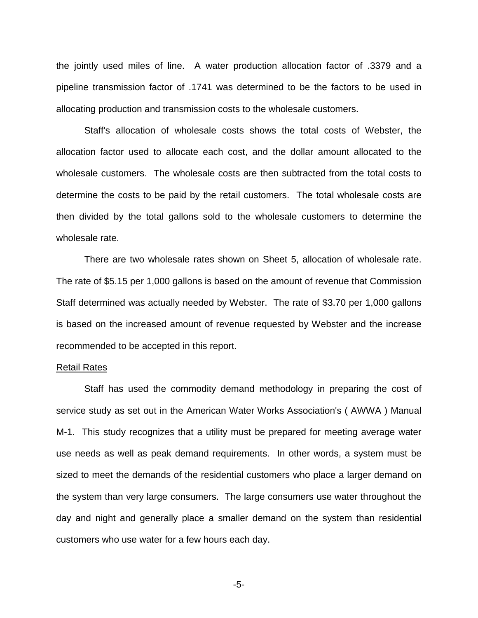the jointly used miles of line. A water production allocation factor of .3379 and a pipeline transmission factor of .1741 was determined to be the factors to be used in allocating production and transmission costs to the wholesale customers.

Staff's allocation of wholesale costs shows the total costs of Webster, the allocation factor used to allocate each cost, and the dollar amount allocated to the wholesale customers. The wholesale costs are then subtracted from the total costs to determine the costs to be paid by the retail customers. The total wholesale costs are then divided by the total gallons sold to the wholesale customers to determine the wholesale rate.

There are two wholesale rates shown on Sheet 5, allocation of wholesale rate. The rate of \$5.15 per 1,000 gallons is based on the amount of revenue that Commission Staff determined was actually needed by Webster. The rate of \$3.70 per 1,000 gallons is based on the increased amount of revenue requested by Webster and the increase recommended to be accepted in this report.

#### Retail Rates

Staff has used the commodity demand methodology in preparing the cost of service study as set out in the American Water Works Association's ( AWWA ) Manual M-1. This study recognizes that a utility must be prepared for meeting average water use needs as well as peak demand requirements. In other words, a system must be sized to meet the demands of the residential customers who place a larger demand on the system than very large consumers. The large consumers use water throughout the day and night and generally place a smaller demand on the system than residential customers who use water for a few hours each day.

-5-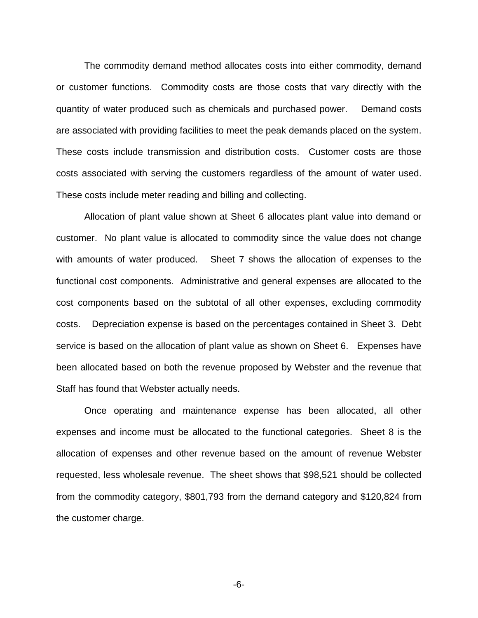The commodity demand method allocates costs into either commodity, demand or customer functions. Commodity costs are those costs that vary directly with the quantity of water produced such as chemicals and purchased power. Demand costs are associated with providing facilities to meet the peak demands placed on the system. These costs include transmission and distribution costs. Customer costs are those costs associated with serving the customers regardless of the amount of water used. These costs include meter reading and billing and collecting.

Allocation of plant value shown at Sheet 6 allocates plant value into demand or customer. No plant value is allocated to commodity since the value does not change with amounts of water produced. Sheet 7 shows the allocation of expenses to the functional cost components. Administrative and general expenses are allocated to the cost components based on the subtotal of all other expenses, excluding commodity costs. Depreciation expense is based on the percentages contained in Sheet 3. Debt service is based on the allocation of plant value as shown on Sheet 6. Expenses have been allocated based on both the revenue proposed by Webster and the revenue that Staff has found that Webster actually needs.

Once operating and maintenance expense has been allocated, all other expenses and income must be allocated to the functional categories. Sheet 8 is the allocation of expenses and other revenue based on the amount of revenue Webster requested, less wholesale revenue. The sheet shows that \$98,521 should be collected from the commodity category, \$801,793 from the demand category and \$120,824 from the customer charge.

-6-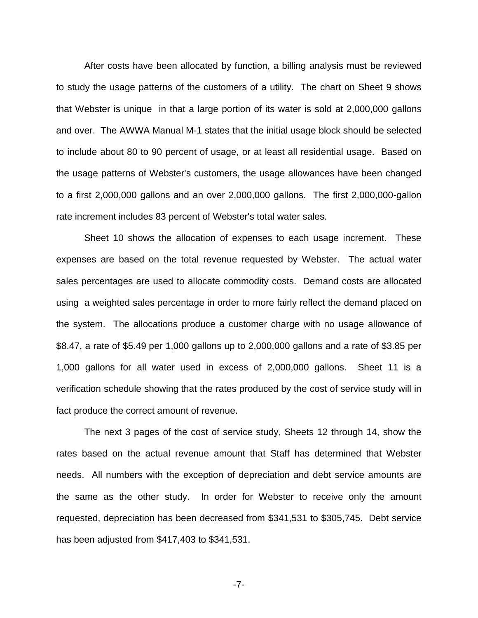After costs have been allocated by function, a billing analysis must be reviewed to study the usage patterns of the customers of a utility. The chart on Sheet 9 shows that Webster is unique in that a large portion of its water is sold at 2,000,000 gallons and over. The AWWA Manual M-1 states that the initial usage block should be selected to include about 80 to 90 percent of usage, or at least all residential usage. Based on the usage patterns of Webster's customers, the usage allowances have been changed to a first 2,000,000 gallons and an over 2,000,000 gallons. The first 2,000,000-gallon rate increment includes 83 percent of Webster's total water sales.

Sheet 10 shows the allocation of expenses to each usage increment. These expenses are based on the total revenue requested by Webster. The actual water sales percentages are used to allocate commodity costs. Demand costs are allocated using a weighted sales percentage in order to more fairly reflect the demand placed on the system. The allocations produce a customer charge with no usage allowance of \$8.47, a rate of \$5.49 per 1,000 gallons up to 2,000,000 gallons and a rate of \$3.85 per 1,000 gallons for all water used in excess of 2,000,000 gallons. Sheet 11 is a verification schedule showing that the rates produced by the cost of service study will in fact produce the correct amount of revenue.

The next 3 pages of the cost of service study, Sheets 12 through 14, show the rates based on the actual revenue amount that Staff has determined that Webster needs. All numbers with the exception of depreciation and debt service amounts are the same as the other study. In order for Webster to receive only the amount requested, depreciation has been decreased from \$341,531 to \$305,745. Debt service has been adjusted from \$417,403 to \$341,531.

-7-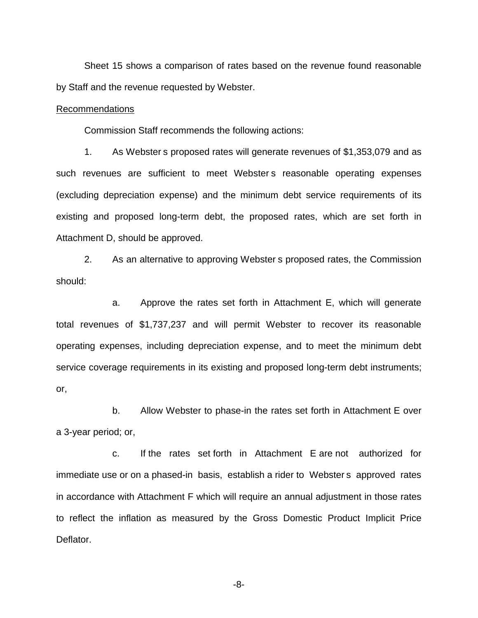Sheet 15 shows a comparison of rates based on the revenue found reasonable by Staff and the revenue requested by Webster.

#### Recommendations

Commission Staff recommends the following actions:

1. As Webster s proposed rates will generate revenues of \$1,353,079 and as such revenues are sufficient to meet Webster s reasonable operating expenses (excluding depreciation expense) and the minimum debt service requirements of its existing and proposed long-term debt, the proposed rates, which are set forth in Attachment D, should be approved.

2. As an alternative to approving Webster s proposed rates, the Commission should:

a. Approve the rates set forth in Attachment E, which will generate total revenues of \$1,737,237 and will permit Webster to recover its reasonable operating expenses, including depreciation expense, and to meet the minimum debt service coverage requirements in its existing and proposed long-term debt instruments; or,

b. Allow Webster to phase-in the rates set forth in Attachment E over a 3-year period; or,

c. If the rates set forth in Attachment E are not authorized for immediate use or on a phased-in basis, establish a rider to Webster s approved rates in accordance with Attachment F which will require an annual adjustment in those rates to reflect the inflation as measured by the Gross Domestic Product Implicit Price Deflator.

-8-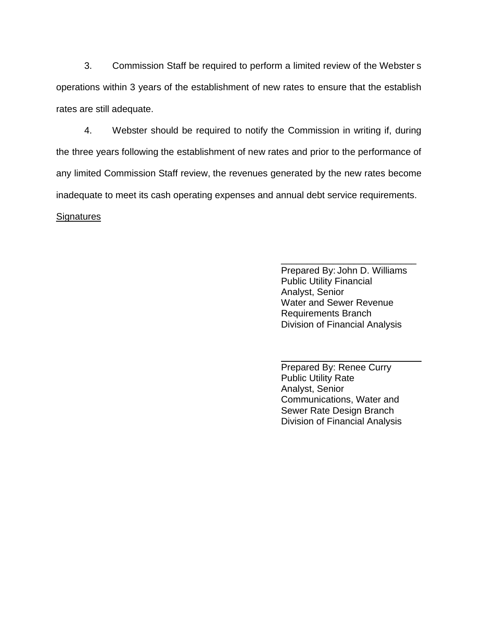3. Commission Staff be required to perform a limited review of the Webster s operations within 3 years of the establishment of new rates to ensure that the establish rates are still adequate.

4. Webster should be required to notify the Commission in writing if, during the three years following the establishment of new rates and prior to the performance of any limited Commission Staff review, the revenues generated by the new rates become inadequate to meet its cash operating expenses and annual debt service requirements.

### **Signatures**

Prepared By: John D. Williams Public Utility Financial Analyst, Senior Water and Sewer Revenue Requirements Branch Division of Financial Analysis

\_\_\_\_\_\_\_\_\_\_\_\_\_\_\_\_\_\_\_\_\_\_\_\_\_\_

Prepared By: Renee Curry Public Utility Rate Analyst, Senior Communications, Water and Sewer Rate Design Branch Division of Financial Analysis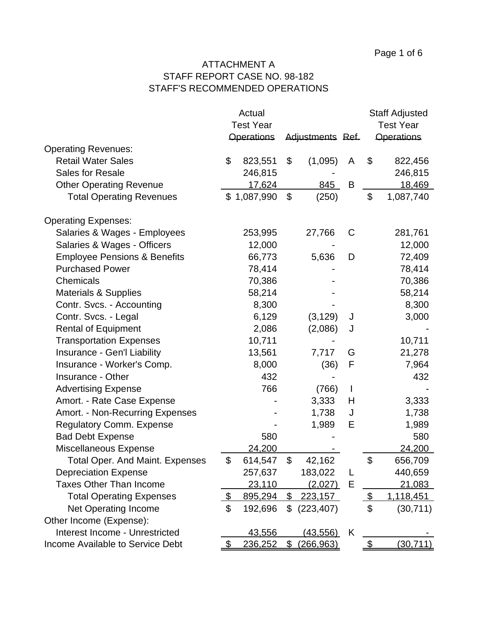### ATTACHMENT A STAFF REPORT CASE NO. 98-182 STAFF'S RECOMMENDED OPERATIONS

|                                         |                  | Actual            |                |                  |                  |                | <b>Staff Adjusted</b> |
|-----------------------------------------|------------------|-------------------|----------------|------------------|------------------|----------------|-----------------------|
|                                         | <b>Test Year</b> |                   |                |                  | <b>Test Year</b> |                |                       |
|                                         |                  | <b>Operations</b> |                | Adjustments Ref. |                  |                | <b>Operations</b>     |
| <b>Operating Revenues:</b>              |                  |                   |                |                  |                  |                |                       |
| <b>Retail Water Sales</b>               | \$               | 823,551           | \$             | (1,095)          | A                | \$             | 822,456               |
| <b>Sales for Resale</b>                 |                  | 246,815           |                |                  |                  |                | 246,815               |
| <b>Other Operating Revenue</b>          |                  | 17,624            |                | 845              | B                |                | 18,469                |
| <b>Total Operating Revenues</b>         |                  | \$1,087,990       | \$             | (250)            |                  | \$             | 1,087,740             |
| <b>Operating Expenses:</b>              |                  |                   |                |                  |                  |                |                       |
| Salaries & Wages - Employees            |                  | 253,995           |                | 27,766           | C                |                | 281,761               |
| Salaries & Wages - Officers             |                  | 12,000            |                |                  |                  |                | 12,000                |
| <b>Employee Pensions &amp; Benefits</b> |                  | 66,773            |                | 5,636            | D                |                | 72,409                |
| <b>Purchased Power</b>                  |                  | 78,414            |                |                  |                  |                | 78,414                |
| Chemicals                               |                  | 70,386            |                |                  |                  |                | 70,386                |
| <b>Materials &amp; Supplies</b>         |                  | 58,214            |                |                  |                  |                | 58,214                |
| Contr. Svcs. - Accounting               |                  | 8,300             |                |                  |                  |                | 8,300                 |
| Contr. Svcs. - Legal                    |                  | 6,129             |                | (3, 129)         | J                |                | 3,000                 |
| <b>Rental of Equipment</b>              |                  | 2,086             |                | (2,086)          | J                |                |                       |
| <b>Transportation Expenses</b>          |                  | 10,711            |                |                  |                  |                | 10,711                |
| Insurance - Gen'l Liability             |                  | 13,561            |                | 7,717            | G                |                | 21,278                |
| Insurance - Worker's Comp.              |                  | 8,000             |                | (36)             | F                |                | 7,964                 |
| Insurance - Other                       |                  | 432               |                |                  |                  |                | 432                   |
| <b>Advertising Expense</b>              |                  | 766               |                | (766)            | L                |                |                       |
| Amort. - Rate Case Expense              |                  |                   |                | 3,333            | H                |                | 3,333                 |
| Amort. - Non-Recurring Expenses         |                  |                   |                | 1,738            | J                |                | 1,738                 |
| <b>Regulatory Comm. Expense</b>         |                  |                   |                | 1,989            | E                |                | 1,989                 |
| <b>Bad Debt Expense</b>                 |                  | 580               |                |                  |                  |                | 580                   |
| Miscellaneous Expense                   |                  | 24,200            |                |                  |                  |                | 24,200                |
| Total Oper. And Maint. Expenses         | \$               | 614,547           | \$             | 42,162           |                  | \$             | 656,709               |
| <b>Depreciation Expense</b>             |                  | 257,637           |                | 183,022          | L                |                | 440,659               |
| <b>Taxes Other Than Income</b>          |                  | 23,110            |                | (2,027)          | Е                |                | 21,083                |
| <b>Total Operating Expenses</b>         | \$               | 895,294           | \$             | 223,157          |                  | $\frac{1}{2}$  | 1,118,451             |
| <b>Net Operating Income</b>             | \$               | 192,696           | \$             | (223, 407)       |                  | \$             | (30, 711)             |
| Other Income (Expense):                 |                  |                   |                |                  |                  |                |                       |
| Interest Income - Unrestricted          |                  | 43,556            |                | (43, 556)        | K                |                |                       |
| Income Available to Service Debt        | \$               | <u>236,252</u>    | $\mathfrak{F}$ | (266, 963)       |                  | $\mathfrak{F}$ | (30, 711)             |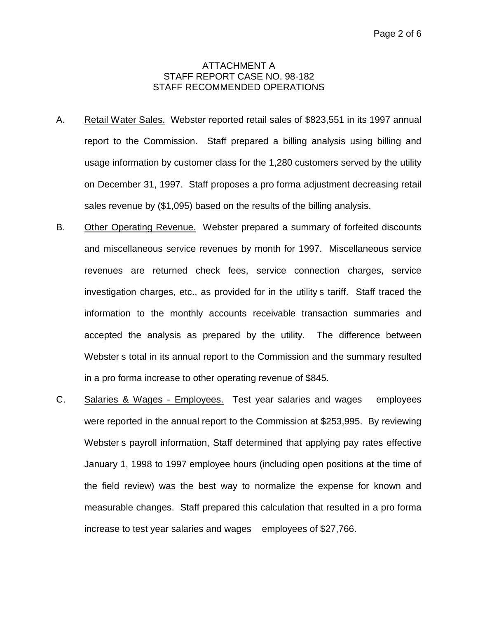#### ATTACHMENT A STAFF REPORT CASE NO. 98-182 STAFF RECOMMENDED OPERATIONS

- A. Retail Water Sales. Webster reported retail sales of \$823,551 in its 1997 annual report to the Commission. Staff prepared a billing analysis using billing and usage information by customer class for the 1,280 customers served by the utility on December 31, 1997. Staff proposes a pro forma adjustment decreasing retail sales revenue by (\$1,095) based on the results of the billing analysis.
- B. Other Operating Revenue. Webster prepared a summary of forfeited discounts and miscellaneous service revenues by month for 1997. Miscellaneous service revenues are returned check fees, service connection charges, service investigation charges, etc., as provided for in the utility s tariff. Staff traced the information to the monthly accounts receivable transaction summaries and accepted the analysis as prepared by the utility. The difference between Webster s total in its annual report to the Commission and the summary resulted in a pro forma increase to other operating revenue of \$845.
- C. Salaries & Wages Employees. Test year salaries and wages employees were reported in the annual report to the Commission at \$253,995. By reviewing Webster s payroll information, Staff determined that applying pay rates effective January 1, 1998 to 1997 employee hours (including open positions at the time of the field review) was the best way to normalize the expense for known and measurable changes. Staff prepared this calculation that resulted in a pro forma increase to test year salaries and wages employees of \$27,766.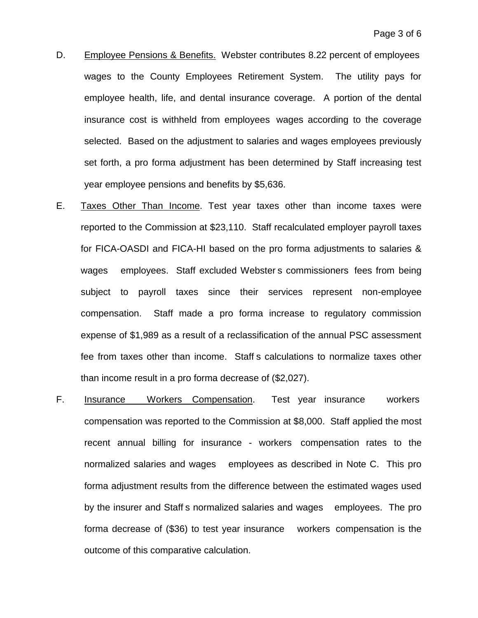- D. Employee Pensions & Benefits. Webster contributes 8.22 percent of employees wages to the County Employees Retirement System. The utility pays for employee health, life, and dental insurance coverage. A portion of the dental insurance cost is withheld from employees wages according to the coverage selected. Based on the adjustment to salaries and wages employees previously set forth, a pro forma adjustment has been determined by Staff increasing test year employee pensions and benefits by \$5,636.
- E. Taxes Other Than Income. Test year taxes other than income taxes were reported to the Commission at \$23,110. Staff recalculated employer payroll taxes for FICA-OASDI and FICA-HI based on the pro forma adjustments to salaries & wages employees. Staff excluded Webster s commissioners fees from being subject to payroll taxes since their services represent non-employee compensation. Staff made a pro forma increase to regulatory commission expense of \$1,989 as a result of a reclassification of the annual PSC assessment fee from taxes other than income. Staff s calculations to normalize taxes other than income result in a pro forma decrease of (\$2,027).
- F. Insurance Workers Compensation. Test year insurance workers compensation was reported to the Commission at \$8,000. Staff applied the most recent annual billing for insurance - workers compensation rates to the normalized salaries and wages employees as described in Note C. This pro forma adjustment results from the difference between the estimated wages used by the insurer and Staff s normalized salaries and wages employees. The pro forma decrease of (\$36) to test year insurance workers compensation is the outcome of this comparative calculation.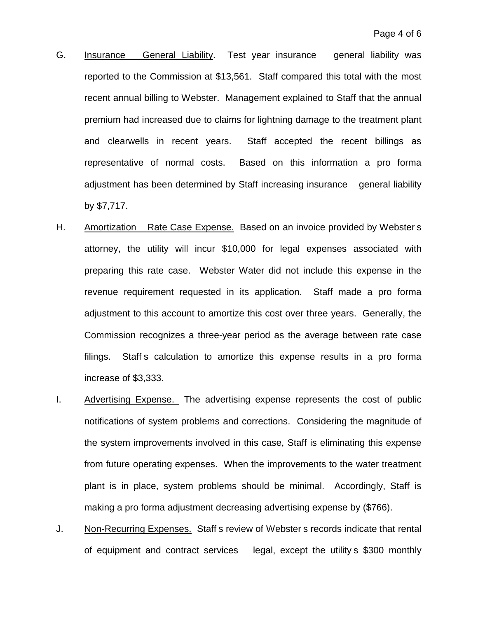- G. Insurance General Liability. Test year insurance general liability was reported to the Commission at \$13,561. Staff compared this total with the most recent annual billing to Webster. Management explained to Staff that the annual premium had increased due to claims for lightning damage to the treatment plant and clearwells in recent years. Staff accepted the recent billings as representative of normal costs. Based on this information a pro forma adjustment has been determined by Staff increasing insurance general liability by \$7,717.
- H. Amortization Rate Case Expense. Based on an invoice provided by Websters attorney, the utility will incur \$10,000 for legal expenses associated with preparing this rate case. Webster Water did not include this expense in the revenue requirement requested in its application. Staff made a pro forma adjustment to this account to amortize this cost over three years. Generally, the Commission recognizes a three-year period as the average between rate case filings. Staff s calculation to amortize this expense results in a pro forma increase of \$3,333.
- I. Advertising Expense. The advertising expense represents the cost of public notifications of system problems and corrections. Considering the magnitude of the system improvements involved in this case, Staff is eliminating this expense from future operating expenses. When the improvements to the water treatment plant is in place, system problems should be minimal. Accordingly, Staff is making a pro forma adjustment decreasing advertising expense by (\$766).
- J. Non-Recurring Expenses. Staff s review of Webster s records indicate that rental of equipment and contract services legal, except the utility s \$300 monthly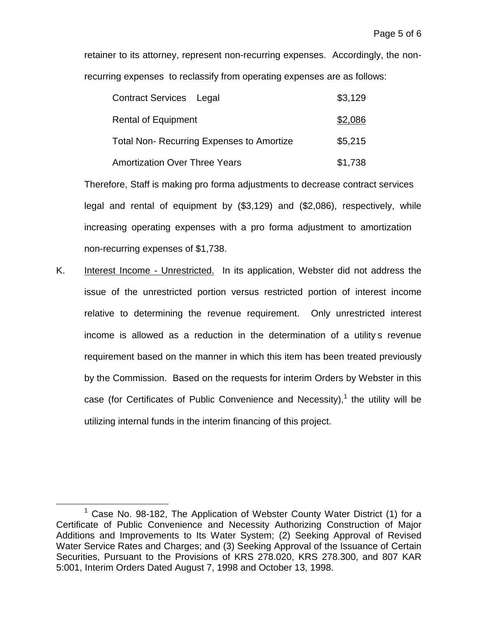retainer to its attorney, represent non-recurring expenses. Accordingly, the nonrecurring expenses to reclassify from operating expenses are as follows:

| <b>Contract Services</b> Legal                   | \$3,129 |
|--------------------------------------------------|---------|
| <b>Rental of Equipment</b>                       | \$2,086 |
| <b>Total Non- Recurring Expenses to Amortize</b> | \$5,215 |
| <b>Amortization Over Three Years</b>             | \$1,738 |

Therefore, Staff is making pro forma adjustments to decrease contract services legal and rental of equipment by (\$3,129) and (\$2,086), respectively, while increasing operating expenses with a pro forma adjustment to amortization non-recurring expenses of \$1,738.

K. Interest Income - Unrestricted. In its application, Webster did not address the issue of the unrestricted portion versus restricted portion of interest income relative to determining the revenue requirement. Only unrestricted interest income is allowed as a reduction in the determination of a utility s revenue requirement based on the manner in which this item has been treated previously by the Commission. Based on the requests for interim Orders by Webster in this case (for Certificates of Public Convenience and Necessity), $1$  the utility will be utilizing internal funds in the interim financing of this project.

 $1$  Case No. 98-182, The Application of Webster County Water District (1) for a Certificate of Public Convenience and Necessity Authorizing Construction of Major Additions and Improvements to Its Water System; (2) Seeking Approval of Revised Water Service Rates and Charges; and (3) Seeking Approval of the Issuance of Certain Securities, Pursuant to the Provisions of KRS 278.020, KRS 278.300, and 807 KAR 5:001, Interim Orders Dated August 7, 1998 and October 13, 1998.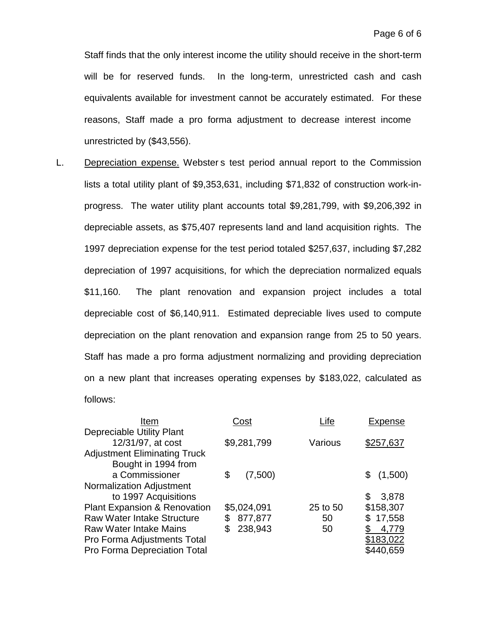Staff finds that the only interest income the utility should receive in the short-term will be for reserved funds. In the long-term, unrestricted cash and cash equivalents available for investment cannot be accurately estimated. For these reasons, Staff made a pro forma adjustment to decrease interest income unrestricted by (\$43,556).

L. Depreciation expense. Webster s test period annual report to the Commission lists a total utility plant of \$9,353,631, including \$71,832 of construction work-inprogress. The water utility plant accounts total \$9,281,799, with \$9,206,392 in depreciable assets, as \$75,407 represents land and land acquisition rights. The 1997 depreciation expense for the test period totaled \$257,637, including \$7,282 depreciation of 1997 acquisitions, for which the depreciation normalized equals \$11,160. The plant renovation and expansion project includes a total depreciable cost of \$6,140,911. Estimated depreciable lives used to compute depreciation on the plant renovation and expansion range from 25 to 50 years. Staff has made a pro forma adjustment normalizing and providing depreciation on a new plant that increases operating expenses by \$183,022, calculated as follows:

| Cost          | _ife     | Expense      |
|---------------|----------|--------------|
|               |          |              |
| \$9,281,799   | Various  | \$257,637    |
|               |          |              |
|               |          |              |
| (7,500)<br>\$ |          | \$(1,500)    |
|               |          |              |
|               |          | \$<br>3,878  |
| \$5,024,091   | 25 to 50 | \$158,307    |
| 877,877<br>S  | 50       | 17,558<br>\$ |
| 238,943       | 50       | 4,779        |
|               |          | \$183,022    |
|               |          | \$440,659    |
|               |          |              |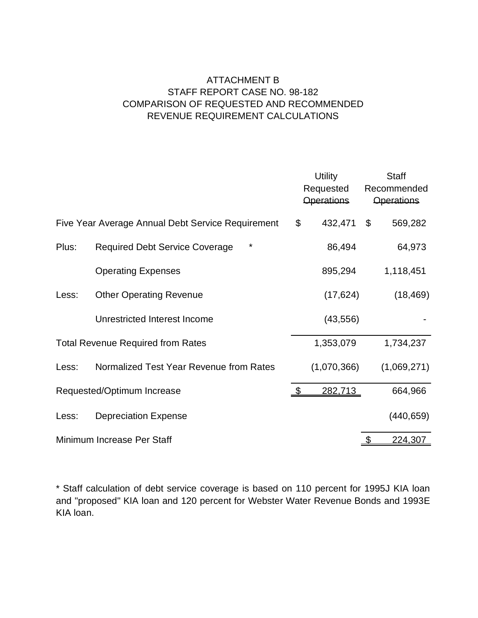### ATTACHMENT B STAFF REPORT CASE NO. 98-182 COMPARISON OF REQUESTED AND RECOMMENDED REVENUE REQUIREMENT CALCULATIONS

|       |                                                   |                | <b>Utility</b><br>Requested<br><b>Operations</b> |                | <b>Staff</b><br>Recommended<br><b>Operations</b> |
|-------|---------------------------------------------------|----------------|--------------------------------------------------|----------------|--------------------------------------------------|
|       | Five Year Average Annual Debt Service Requirement | \$             | 432,471                                          | $\mathfrak{L}$ | 569,282                                          |
| Plus: | *<br><b>Required Debt Service Coverage</b>        |                | 86,494                                           |                | 64,973                                           |
|       | <b>Operating Expenses</b>                         |                | 895,294                                          |                | 1,118,451                                        |
| Less: | <b>Other Operating Revenue</b>                    |                | (17, 624)                                        |                | (18, 469)                                        |
|       | Unrestricted Interest Income                      |                | (43, 556)                                        |                |                                                  |
|       | <b>Total Revenue Required from Rates</b>          |                | 1,353,079                                        |                | 1,734,237                                        |
| Less: | Normalized Test Year Revenue from Rates           |                | (1,070,366)                                      |                | (1,069,271)                                      |
|       | Requested/Optimum Increase                        | $\mathfrak{L}$ | 282,713                                          |                | 664,966                                          |
| Less: | <b>Depreciation Expense</b>                       |                |                                                  |                | (440, 659)                                       |
|       | Minimum Increase Per Staff                        |                |                                                  |                | 224,307                                          |

\* Staff calculation of debt service coverage is based on 110 percent for 1995J KIA loan and "proposed" KIA loan and 120 percent for Webster Water Revenue Bonds and 1993E KIA loan.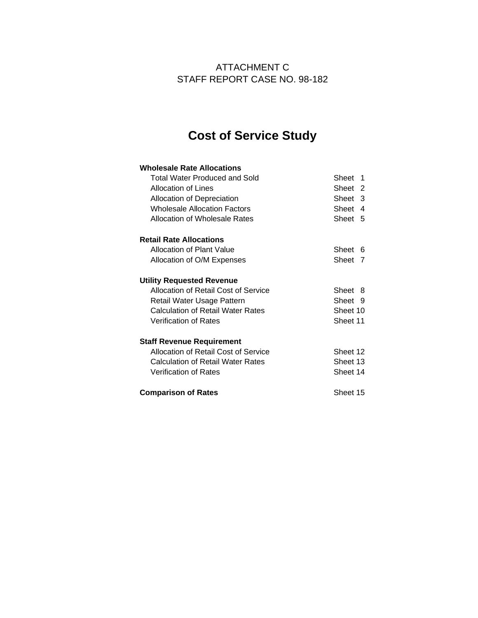### ATTACHMENT C STAFF REPORT CASE NO. 98-182

# **Cost of Service Study**

| <b>Wholesale Rate Allocations</b>        |          |   |
|------------------------------------------|----------|---|
| Total Water Produced and Sold            | Sheet 1  |   |
| Allocation of Lines                      | Sheet 2  |   |
| Allocation of Depreciation               | Sheet 3  |   |
| <b>Wholesale Allocation Factors</b>      | Sheet    | 4 |
| Allocation of Wholesale Rates            | Sheet 5  |   |
| <b>Retail Rate Allocations</b>           |          |   |
| Allocation of Plant Value                | Sheet 6  |   |
| Allocation of O/M Expenses               | Sheet 7  |   |
| <b>Utility Requested Revenue</b>         |          |   |
| Allocation of Retail Cost of Service     | Sheet 8  |   |
| Retail Water Usage Pattern               | Sheet 9  |   |
| Calculation of Retail Water Rates        | Sheet 10 |   |
| <b>Verification of Rates</b>             | Sheet 11 |   |
| <b>Staff Revenue Requirement</b>         |          |   |
| Allocation of Retail Cost of Service     | Sheet 12 |   |
| <b>Calculation of Retail Water Rates</b> | Sheet 13 |   |
| <b>Verification of Rates</b>             | Sheet 14 |   |
| <b>Comparison of Rates</b>               | Sheet 15 |   |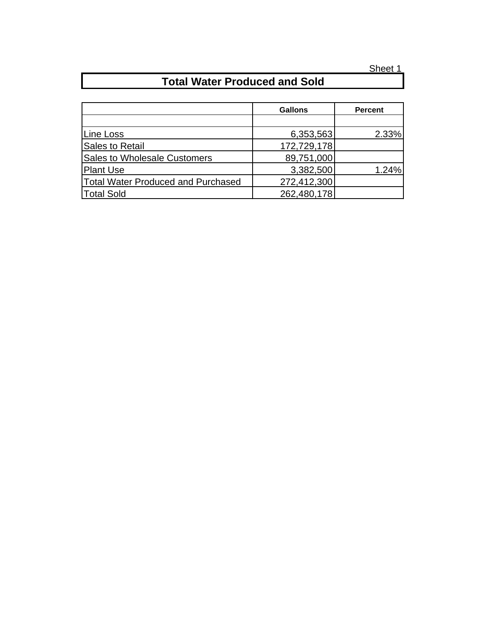# **Total Water Produced and Sold**

|                                     | <b>Gallons</b> | <b>Percent</b> |
|-------------------------------------|----------------|----------------|
|                                     |                |                |
| Line Loss                           | 6,353,563      | 2.33%          |
| Sales to Retail                     | 172,729,178    |                |
| <b>Sales to Wholesale Customers</b> | 89,751,000     |                |
| <b>Plant Use</b>                    | 3,382,500      | 1.24%          |
| Total Water Produced and Purchased  | 272,412,300    |                |
| <b>Total Sold</b>                   | 262,480,178    |                |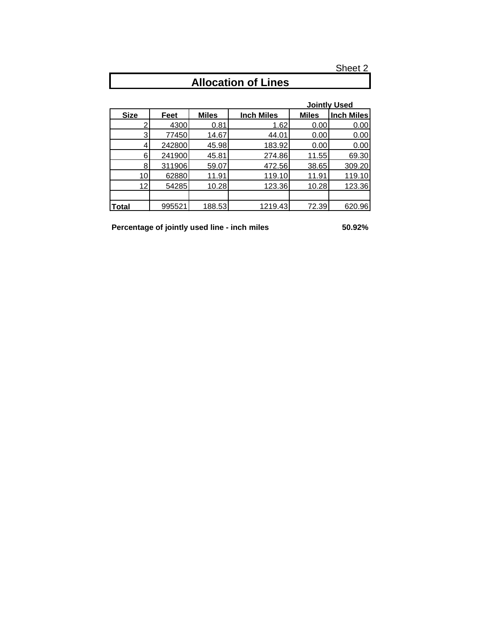| <b>Allocation of Lines</b> |        |              |                   |              |                     |
|----------------------------|--------|--------------|-------------------|--------------|---------------------|
|                            |        |              |                   |              |                     |
|                            |        |              |                   |              | <b>Jointly Used</b> |
| <b>Size</b>                | Feet   | <b>Miles</b> | <b>Inch Miles</b> | <b>Miles</b> | <b>Inch Miles</b>   |
|                            | 4300   | 0.81         | 1.62              | 0.00         | 0.00                |
| 3                          | 77450  | 14.67        | 44.01             | 0.00         | 0.00                |
| 4                          | 242800 | 45.98        | 183.92            | 0.00         | 0.00                |
| 6                          | 241900 | 45.81        | 274.86            | 11.55        | 69.30               |
| 8                          | 311906 | 59.07        | 472.56            | 38.65        | 309.20              |
| 10                         | 62880  | 11.91        | 119.10            | 11.91        | 119.10              |
| 12                         | 54285  | 10.28        | 123.36            | 10.28        | 123.36              |
|                            |        |              |                   |              |                     |
| <b>Total</b>               | 995521 | 188.53       | 1219.43           | 72.39        | 620.96              |

### **Allocation of Lines**

**Percentage of jointly used line - inch miles 50.92%**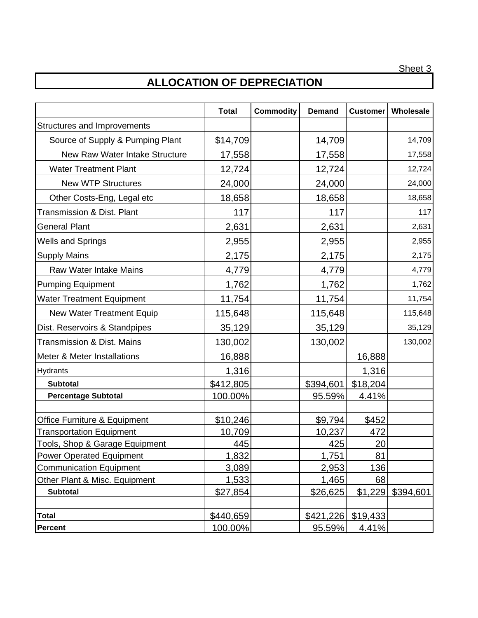## **ALLOCATION OF DEPRECIATION**

|                                       | <b>Total</b> | <b>Commodity</b> | <b>Demand</b> | <b>Customer</b> | Wholesale |
|---------------------------------------|--------------|------------------|---------------|-----------------|-----------|
| Structures and Improvements           |              |                  |               |                 |           |
| Source of Supply & Pumping Plant      | \$14,709     |                  | 14,709        |                 | 14,709    |
| New Raw Water Intake Structure        | 17,558       |                  | 17,558        |                 | 17,558    |
| <b>Water Treatment Plant</b>          | 12,724       |                  | 12,724        |                 | 12,724    |
| <b>New WTP Structures</b>             | 24,000       |                  | 24,000        |                 | 24,000    |
| Other Costs-Eng, Legal etc            | 18,658       |                  | 18,658        |                 | 18,658    |
| <b>Transmission &amp; Dist. Plant</b> | 117          |                  | 117           |                 | 117       |
| <b>General Plant</b>                  | 2,631        |                  | 2,631         |                 | 2,631     |
| <b>Wells and Springs</b>              | 2,955        |                  | 2,955         |                 | 2,955     |
| <b>Supply Mains</b>                   | 2,175        |                  | 2,175         |                 | 2,175     |
| <b>Raw Water Intake Mains</b>         | 4,779        |                  | 4,779         |                 | 4,779     |
| <b>Pumping Equipment</b>              | 1,762        |                  | 1,762         |                 | 1,762     |
| <b>Water Treatment Equipment</b>      | 11,754       |                  | 11,754        |                 | 11,754    |
| <b>New Water Treatment Equip</b>      | 115,648      |                  | 115,648       |                 | 115,648   |
| Dist. Reservoirs & Standpipes         | 35,129       |                  | 35,129        |                 | 35,129    |
| <b>Transmission &amp; Dist. Mains</b> | 130,002      |                  | 130,002       |                 | 130,002   |
| Meter & Meter Installations           | 16,888       |                  |               | 16,888          |           |
| Hydrants                              | 1,316        |                  |               | 1,316           |           |
| <b>Subtotal</b>                       | \$412,805    |                  | \$394,601     | \$18,204        |           |
| <b>Percentage Subtotal</b>            | 100.00%      |                  | 95.59%        | 4.41%           |           |
|                                       |              |                  |               |                 |           |
| Office Furniture & Equipment          | \$10,246     |                  | \$9,794       | \$452           |           |
| <b>Transportation Equipment</b>       | 10,709       |                  | 10,237        | 472             |           |
| Tools, Shop & Garage Equipment        | 445          |                  | 425           | 20              |           |
| <b>Power Operated Equipment</b>       | 1,832        |                  | 1,751         | 81              |           |
| <b>Communication Equipment</b>        | 3,089        |                  | 2,953         | 136             |           |
| Other Plant & Misc. Equipment         | 1,533        |                  | 1,465         | 68              |           |
| <b>Subtotal</b>                       | \$27,854     |                  | \$26,625      | \$1,229         | \$394,601 |
|                                       |              |                  |               |                 |           |
| <b>Total</b>                          | \$440,659    |                  | \$421,226     | \$19,433        |           |
| <b>Percent</b>                        | 100.00%      |                  | 95.59%        | 4.41%           |           |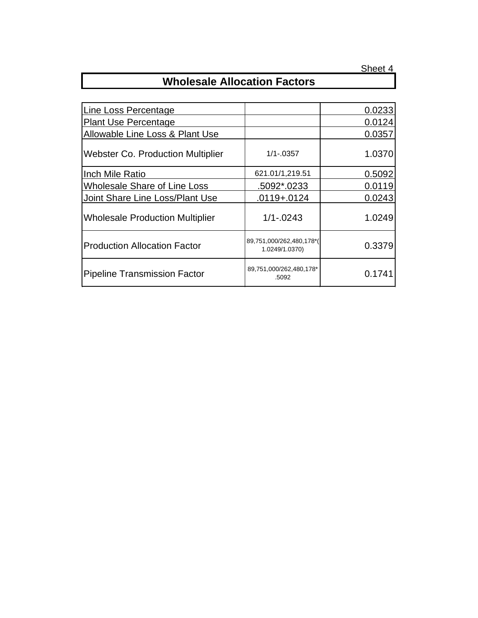## **Wholesale Allocation Factors**

|                                            | 0.0233 |
|--------------------------------------------|--------|
|                                            | 0.0124 |
|                                            | 0.0357 |
| $1/1 - 0357$                               | 1.0370 |
| 621.01/1,219.51                            | 0.5092 |
| .5092*.0233                                | 0.0119 |
| $.0119 + .0124$                            | 0.0243 |
| $1/1 - 0243$                               | 1.0249 |
| 89,751,000/262,480,178*(<br>1.0249/1.0370) | 0.3379 |
| 89,751,000/262,480,178*<br>.5092           | 0.1741 |
|                                            |        |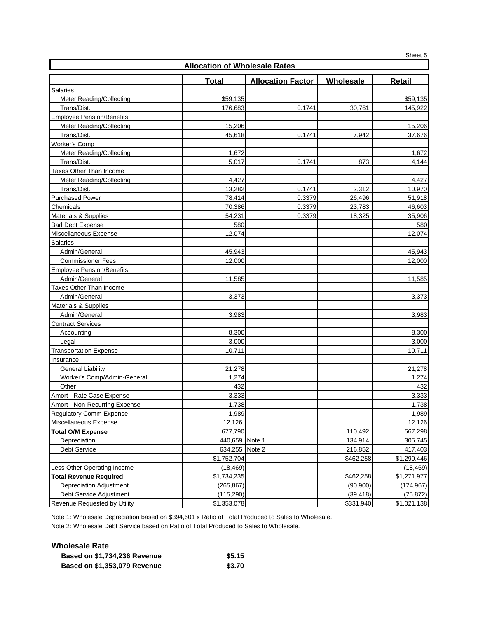|                                  |                                      |                          |           | Sheet 5     |  |  |
|----------------------------------|--------------------------------------|--------------------------|-----------|-------------|--|--|
|                                  | <b>Allocation of Wholesale Rates</b> |                          |           |             |  |  |
|                                  | <b>Total</b>                         | <b>Allocation Factor</b> | Wholesale | Retail      |  |  |
| Salaries                         |                                      |                          |           |             |  |  |
| Meter Reading/Collecting         | \$59,135                             |                          |           | \$59,135    |  |  |
| Trans/Dist.                      | 176,683                              | 0.1741                   | 30,761    | 145,922     |  |  |
| <b>Employee Pension/Benefits</b> |                                      |                          |           |             |  |  |
| Meter Reading/Collecting         | 15,206                               |                          |           | 15,206      |  |  |
| Trans/Dist.                      | 45,618                               | 0.1741                   | 7,942     | 37,676      |  |  |
| <b>Worker's Comp</b>             |                                      |                          |           |             |  |  |
| Meter Reading/Collecting         | 1,672                                |                          |           | 1,672       |  |  |
| Trans/Dist.                      | 5,017                                | 0.1741                   | 873       | 4,144       |  |  |
| <b>Taxes Other Than Income</b>   |                                      |                          |           |             |  |  |
| Meter Reading/Collecting         | 4,427                                |                          |           | 4,427       |  |  |
| Trans/Dist.                      | 13,282                               | 0.1741                   | 2,312     | 10,970      |  |  |
| <b>Purchased Power</b>           | 78,414                               | 0.3379                   | 26,496    | 51,918      |  |  |
| Chemicals                        | 70,386                               | 0.3379                   | 23,783    | 46,603      |  |  |
| Materials & Supplies             | 54,231                               | 0.3379                   | 18,325    | 35,906      |  |  |
| <b>Bad Debt Expense</b>          | 580                                  |                          |           | 580         |  |  |
| Miscellaneous Expense            | 12,074                               |                          |           | 12,074      |  |  |
| Salaries                         |                                      |                          |           |             |  |  |
| Admin/General                    | 45,943                               |                          |           | 45,943      |  |  |
| <b>Commissioner Fees</b>         | 12,000                               |                          |           | 12,000      |  |  |
| <b>Employee Pension/Benefits</b> |                                      |                          |           |             |  |  |
| Admin/General                    | 11,585                               |                          |           | 11,585      |  |  |
| Taxes Other Than Income          |                                      |                          |           |             |  |  |
| Admin/General                    | 3,373                                |                          |           | 3,373       |  |  |
| <b>Materials &amp; Supplies</b>  |                                      |                          |           |             |  |  |
| Admin/General                    | 3,983                                |                          |           | 3,983       |  |  |
| <b>Contract Services</b>         |                                      |                          |           |             |  |  |
| Accounting                       | 8,300                                |                          |           | 8,300       |  |  |
| Legal                            | 3,000                                |                          |           | 3,000       |  |  |
| <b>Transportation Expense</b>    | 10,711                               |                          |           | 10,711      |  |  |
| Insurance                        |                                      |                          |           |             |  |  |
| <b>General Liability</b>         | 21,278                               |                          |           | 21,278      |  |  |
| Worker's Comp/Admin-General      | 1,274                                |                          |           | 1,274       |  |  |
| Other                            | 432                                  |                          |           | 432         |  |  |
| Amort - Rate Case Expense        | 3,333                                |                          |           | 3,333       |  |  |
| Amort - Non-Recurring Expense    | 1,738                                |                          |           | 1,738       |  |  |
| <b>Regulatory Comm Expense</b>   | 1,989                                |                          |           | 1,989       |  |  |
| Miscellaneous Expense            | 12,126                               |                          |           | 12,126      |  |  |
| <b>Total O/M Expense</b>         | 677,790                              |                          | 110,492   | 567,298     |  |  |
| Depreciation                     | 440,659 Note 1                       |                          | 134,914   | 305,745     |  |  |
| Debt Service                     | 634,255                              | Note 2                   | 216,852   | 417,403     |  |  |
|                                  | \$1,752,704                          |                          | \$462,258 | \$1,290,446 |  |  |
| Less Other Operating Income      | (18, 469)                            |                          |           | (18, 469)   |  |  |
| <b>Total Revenue Required</b>    | \$1,734,235                          |                          | \$462,258 | \$1,271,977 |  |  |
| <b>Depreciation Adjustment</b>   | (265, 867)                           |                          | (90, 900) | (174, 967)  |  |  |
| Debt Service Adjustment          | (115, 290)                           |                          | (39, 418) | (75, 872)   |  |  |
| Revenue Requested by Utility     | \$1,353,078                          |                          | \$331,940 | \$1,021,138 |  |  |

Note 1: Wholesale Depreciation based on \$394,601 x Ratio of Total Produced to Sales to Wholesale.

Note 2: Wholesale Debt Service based on Ratio of Total Produced to Sales to Wholesale.

| Wholesale Rate                      |        |
|-------------------------------------|--------|
| <b>Based on \$1,734,236 Revenue</b> | \$5.15 |
| <b>Based on \$1,353,079 Revenue</b> | \$3.70 |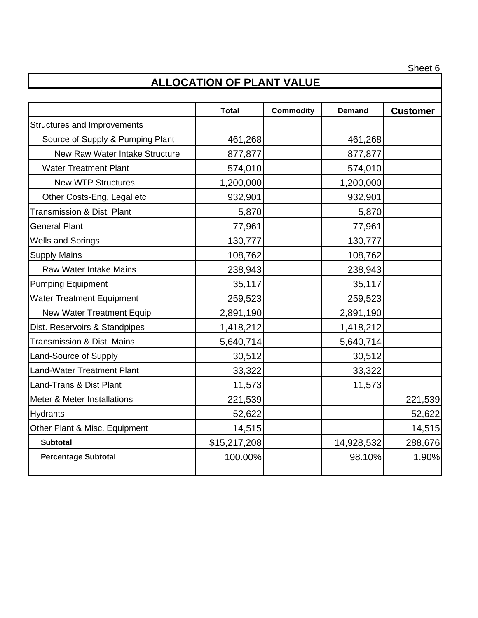## **ALLOCATION OF PLANT VALUE**

|                                       | <b>Total</b> | <b>Commodity</b> | <b>Demand</b> | <b>Customer</b> |
|---------------------------------------|--------------|------------------|---------------|-----------------|
| Structures and Improvements           |              |                  |               |                 |
| Source of Supply & Pumping Plant      | 461,268      |                  | 461,268       |                 |
| New Raw Water Intake Structure        | 877,877      |                  | 877,877       |                 |
| <b>Water Treatment Plant</b>          | 574,010      |                  | 574,010       |                 |
| <b>New WTP Structures</b>             | 1,200,000    |                  | 1,200,000     |                 |
| Other Costs-Eng, Legal etc            | 932,901      |                  | 932,901       |                 |
| <b>Transmission &amp; Dist. Plant</b> | 5,870        |                  | 5,870         |                 |
| <b>General Plant</b>                  | 77,961       |                  | 77,961        |                 |
| <b>Wells and Springs</b>              | 130,777      |                  | 130,777       |                 |
| <b>Supply Mains</b>                   | 108,762      |                  | 108,762       |                 |
| <b>Raw Water Intake Mains</b>         | 238,943      |                  | 238,943       |                 |
| <b>Pumping Equipment</b>              | 35,117       |                  | 35,117        |                 |
| <b>Water Treatment Equipment</b>      | 259,523      |                  | 259,523       |                 |
| <b>New Water Treatment Equip</b>      | 2,891,190    |                  | 2,891,190     |                 |
| Dist. Reservoirs & Standpipes         | 1,418,212    |                  | 1,418,212     |                 |
| <b>Transmission &amp; Dist. Mains</b> | 5,640,714    |                  | 5,640,714     |                 |
| Land-Source of Supply                 | 30,512       |                  | 30,512        |                 |
| <b>Land-Water Treatment Plant</b>     | 33,322       |                  | 33,322        |                 |
| Land-Trans & Dist Plant               | 11,573       |                  | 11,573        |                 |
| Meter & Meter Installations           | 221,539      |                  |               | 221,539         |
| <b>Hydrants</b>                       | 52,622       |                  |               | 52,622          |
| Other Plant & Misc. Equipment         | 14,515       |                  |               | 14,515          |
| <b>Subtotal</b>                       | \$15,217,208 |                  | 14,928,532    | 288,676         |
| <b>Percentage Subtotal</b>            | 100.00%      |                  | 98.10%        | 1.90%           |
|                                       |              |                  |               |                 |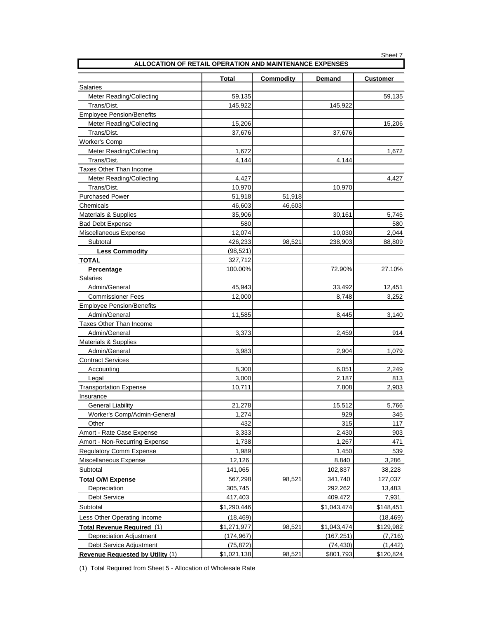| ALLOCATION OF RETAIL OPERATION AND MAINTENANCE EXPENSES |              |                  |             |                 |  |  |
|---------------------------------------------------------|--------------|------------------|-------------|-----------------|--|--|
|                                                         | <b>Total</b> | <b>Commodity</b> | Demand      | <b>Customer</b> |  |  |
| Salaries                                                |              |                  |             |                 |  |  |
| Meter Reading/Collecting                                | 59,135       |                  |             | 59,135          |  |  |
| Trans/Dist.                                             | 145,922      |                  | 145,922     |                 |  |  |
| <b>Employee Pension/Benefits</b>                        |              |                  |             |                 |  |  |
| Meter Reading/Collecting                                | 15,206       |                  |             | 15,206          |  |  |
| Trans/Dist.                                             | 37,676       |                  | 37,676      |                 |  |  |
| Worker's Comp                                           |              |                  |             |                 |  |  |
| Meter Reading/Collecting                                | 1,672        |                  |             | 1,672           |  |  |
| Trans/Dist.                                             | 4,144        |                  | 4,144       |                 |  |  |
| Taxes Other Than Income                                 |              |                  |             |                 |  |  |
| Meter Reading/Collecting                                | 4,427        |                  |             | 4,427           |  |  |
| Trans/Dist.                                             | 10,970       |                  | 10,970      |                 |  |  |
| <b>Purchased Power</b>                                  | 51,918       | 51,918           |             |                 |  |  |
| Chemicals                                               | 46,603       | 46,603           |             |                 |  |  |
| Materials & Supplies                                    | 35,906       |                  | 30,161      | 5,745           |  |  |
| <b>Bad Debt Expense</b>                                 | 580          |                  |             | 580             |  |  |
| Miscellaneous Expense                                   | 12,074       |                  | 10,030      | 2,044           |  |  |
| Subtotal                                                | 426,233      | 98,521           | 238,903     | 88,809          |  |  |
| <b>Less Commodity</b>                                   | (98, 521)    |                  |             |                 |  |  |
| <b>TOTAL</b>                                            | 327,712      |                  |             |                 |  |  |
| Percentage                                              | 100.00%      |                  | 72.90%      | 27.10%          |  |  |
| Salaries                                                |              |                  |             |                 |  |  |
| Admin/General                                           | 45,943       |                  | 33,492      | 12,451          |  |  |
| <b>Commissioner Fees</b>                                | 12,000       |                  | 8,748       | 3,252           |  |  |
| <b>Employee Pension/Benefits</b>                        |              |                  |             |                 |  |  |
| Admin/General                                           | 11,585       |                  | 8,445       | 3,140           |  |  |
| Taxes Other Than Income                                 |              |                  |             |                 |  |  |
| Admin/General                                           | 3,373        |                  | 2,459       | 914             |  |  |
| Materials & Supplies                                    |              |                  |             |                 |  |  |
| Admin/General                                           | 3,983        |                  | 2,904       | 1,079           |  |  |
| <b>Contract Services</b>                                |              |                  |             |                 |  |  |
| Accounting                                              | 8,300        |                  | 6,051       | 2,249           |  |  |
| Legal                                                   | 3,000        |                  | 2,187       | 813             |  |  |
| <b>Transportation Expense</b>                           | 10,711       |                  | 7,808       | 2,903           |  |  |
| Insurance                                               |              |                  |             |                 |  |  |
| <b>General Liability</b>                                | 21,278       |                  | 15,512      | 5,766           |  |  |
| Worker's Comp/Admin-General                             | 1,274        |                  | 929         | 345             |  |  |
| Other                                                   | 432          |                  | 315         | 117             |  |  |
| Amort - Rate Case Expense                               | 3,333        |                  | 2,430       | 903             |  |  |
| <b>Amort - Non-Recurring Expense</b>                    | 1,738        |                  | 1,267       | 471             |  |  |
| <b>Regulatory Comm Expense</b>                          | 1,989        |                  | 1,450       | 539             |  |  |
| Miscellaneous Expense                                   | 12,126       |                  | 8,840       | 3,286           |  |  |
| Subtotal                                                | 141,065      |                  | 102,837     | 38,228          |  |  |
| <b>Total O/M Expense</b>                                | 567,298      | 98,521           | 341,740     | 127,037         |  |  |
| Depreciation                                            | 305,745      |                  | 292,262     | 13,483          |  |  |
| <b>Debt Service</b>                                     | 417,403      |                  | 409,472     | 7,931           |  |  |
| Subtotal                                                | \$1,290,446  |                  | \$1,043,474 | \$148,451       |  |  |
| Less Other Operating Income                             | (18, 469)    |                  |             | (18, 469)       |  |  |
| Total Revenue Required (1)                              | \$1,271,977  | 98,521           | \$1,043,474 | \$129,982       |  |  |
| <b>Depreciation Adjustment</b>                          | (174, 967)   |                  | (167, 251)  | (7, 716)        |  |  |
| Debt Service Adjustment                                 | (75, 872)    |                  | (74, 430)   | (1, 442)        |  |  |
| Revenue Requested by Utility (1)                        | \$1,021,138  | 98,521           | \$801,793   | \$120,824       |  |  |

(1) Total Required from Sheet 5 - Allocation of Wholesale Rate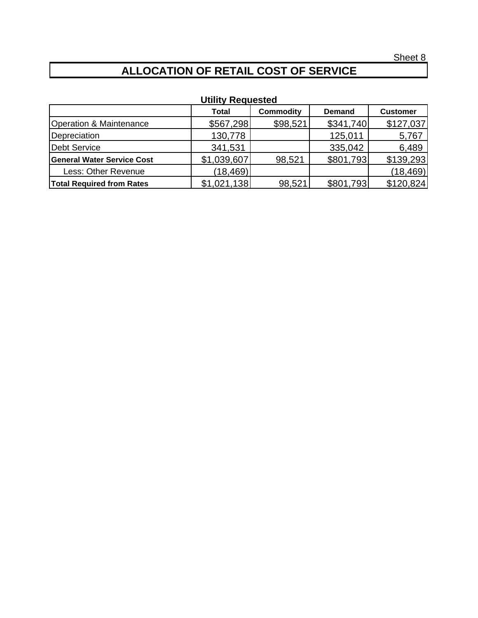# **ALLOCATION OF RETAIL COST OF SERVICE**

| <b>ULIIILY NEUUESIEU</b>          |              |                  |               |                 |  |  |
|-----------------------------------|--------------|------------------|---------------|-----------------|--|--|
|                                   | <b>Total</b> | <b>Commodity</b> | <b>Demand</b> | <b>Customer</b> |  |  |
| Operation & Maintenance           | \$567,298    | \$98,521         | \$341,740     | \$127,037       |  |  |
| Depreciation                      | 130,778      |                  | 125,011       | 5,767           |  |  |
| Debt Service                      | 341,531      |                  | 335,042       | 6,489           |  |  |
| <b>General Water Service Cost</b> | \$1,039,607  | 98,521           | \$801,793     | \$139,293       |  |  |
| Less: Other Revenue               | (18, 469)    |                  |               | (18, 469)       |  |  |
| <b>Total Required from Rates</b>  | \$1,021,138  | 98,521           | \$801,793     | \$120,824       |  |  |

## **Utility Requested**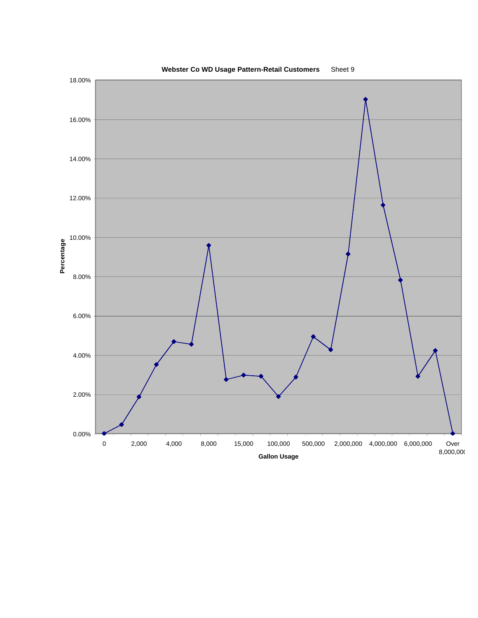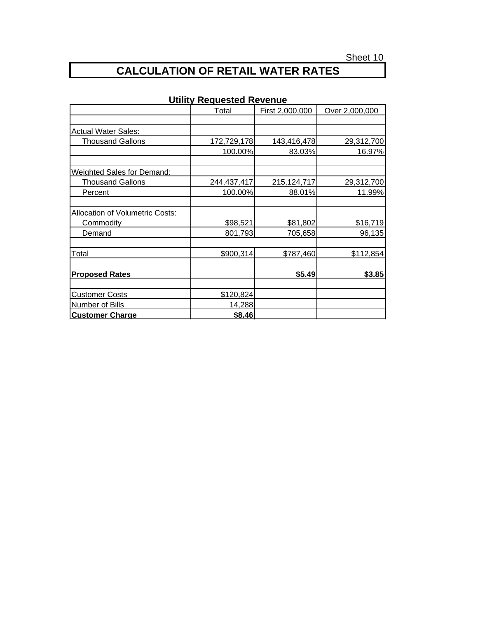# **CALCULATION OF RETAIL WATER RATES**

|                                   | Total       | First 2,000,000 | Over 2,000,000 |
|-----------------------------------|-------------|-----------------|----------------|
|                                   |             |                 |                |
| <b>Actual Water Sales:</b>        |             |                 |                |
| <b>Thousand Gallons</b>           | 172,729,178 | 143,416,478     | 29,312,700     |
|                                   | 100.00%     | 83.03%          | 16.97%         |
| <b>Weighted Sales for Demand:</b> |             |                 |                |
| <b>Thousand Gallons</b>           | 244,437,417 | 215, 124, 717   | 29,312,700     |
| Percent                           | 100.00%     | 88.01%          | 11.99%         |
| Allocation of Volumetric Costs:   |             |                 |                |
| <b>Commodity</b>                  | \$98,521    | \$81,802        | \$16,719       |
| Demand                            | 801,793     | 705,658         | 96,135         |
| Total                             | \$900,314   | \$787,460       | \$112,854      |
| <b>Proposed Rates</b>             |             | \$5.49          | \$3.85         |
| <b>Customer Costs</b>             | \$120,824   |                 |                |
| Number of Bills                   | 14,288      |                 |                |
| <b>Customer Charge</b>            | \$8.46      |                 |                |

### **Utility Requested Revenue**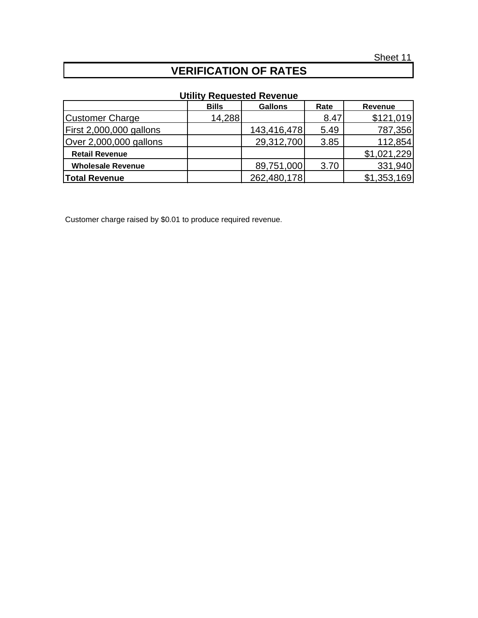## **VERIFICATION OF RATES**

### **Utility Requested Revenue**

|                          | <b>Bills</b> | <b>Gallons</b> | Rate | Revenue     |
|--------------------------|--------------|----------------|------|-------------|
| <b>Customer Charge</b>   | 14,288       |                | 8.47 | \$121,019   |
| First 2,000,000 gallons  |              | 143,416,478    | 5.49 | 787,356     |
| Over 2,000,000 gallons   |              | 29,312,700     | 3.85 | 112,854     |
| <b>Retail Revenue</b>    |              |                |      | \$1,021,229 |
| <b>Wholesale Revenue</b> |              | 89,751,000     | 3.70 | 331,940     |
| <b>Total Revenue</b>     |              | 262,480,178    |      | \$1,353,169 |

Customer charge raised by \$0.01 to produce required revenue.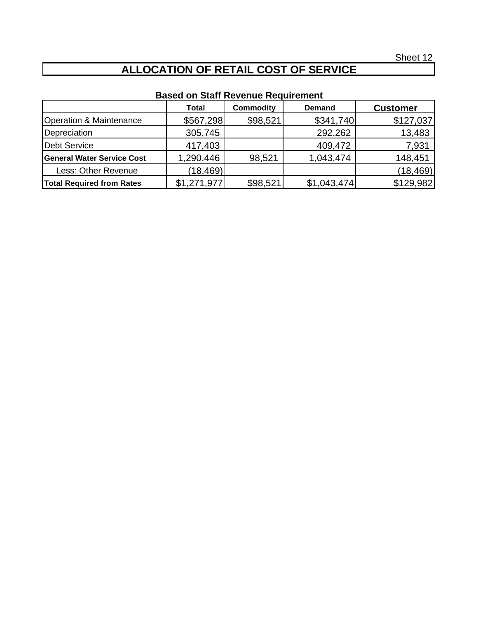# **ALLOCATION OF RETAIL COST OF SERVICE**

## **Based on Staff Revenue Requirement**

|                                   | <b>Total</b> | <b>Commodity</b> | <b>Demand</b> | <b>Customer</b> |
|-----------------------------------|--------------|------------------|---------------|-----------------|
| Operation & Maintenance           | \$567,298    | \$98,521         | \$341,740     | \$127,037       |
| Depreciation                      | 305,745      |                  | 292,262       | 13,483          |
| Debt Service                      | 417,403      |                  | 409,472       | 7,931           |
| <b>General Water Service Cost</b> | 1,290,446    | 98,521           | 1,043,474     | 148,451         |
| Less: Other Revenue               | (18, 469)    |                  |               | (18, 469)       |
| <b>Total Required from Rates</b>  | \$1,271,977  | \$98,521         | \$1,043,474   | \$129,982       |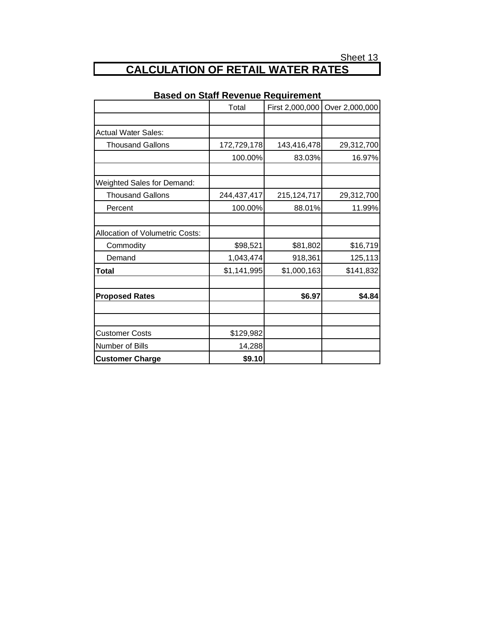# **CALCULATION OF RETAIL WATER RATES**

|                                        | Total       | First 2,000,000 | Over 2,000,000 |
|----------------------------------------|-------------|-----------------|----------------|
|                                        |             |                 |                |
| <b>Actual Water Sales:</b>             |             |                 |                |
| <b>Thousand Gallons</b>                | 172,729,178 | 143,416,478     | 29,312,700     |
|                                        | 100.00%     | 83.03%          | 16.97%         |
|                                        |             |                 |                |
| <b>Weighted Sales for Demand:</b>      |             |                 |                |
| <b>Thousand Gallons</b>                | 244,437,417 | 215, 124, 717   | 29,312,700     |
| Percent                                | 100.00%     | 88.01%          | 11.99%         |
| <b>Allocation of Volumetric Costs:</b> |             |                 |                |
| Commodity                              | \$98,521    | \$81,802        | \$16,719       |
| Demand                                 | 1,043,474   | 918,361         | 125,113        |
| Total                                  | \$1,141,995 | \$1,000,163     | \$141,832      |
| <b>Proposed Rates</b>                  |             | \$6.97          | \$4.84         |
| <b>Customer Costs</b>                  | \$129,982   |                 |                |
| Number of Bills                        | 14,288      |                 |                |
| <b>Customer Charge</b>                 | \$9.10      |                 |                |

### **Based on Staff Revenue Requirement**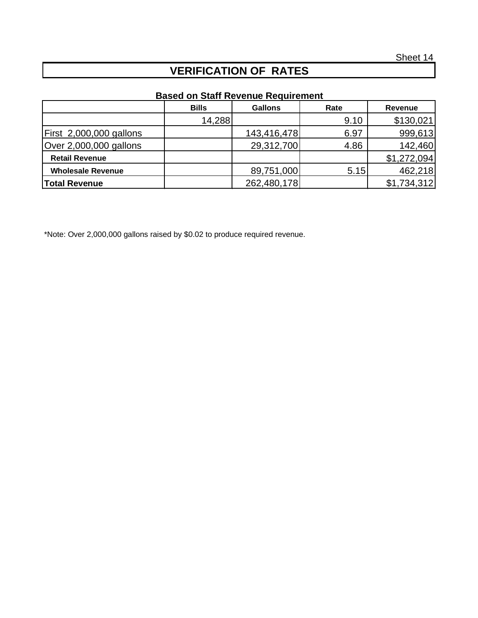## **VERIFICATION OF RATES**

## **Based on Staff Revenue Requirement**

|                          | <b>Bills</b> | <b>Gallons</b> | Rate | Revenue     |
|--------------------------|--------------|----------------|------|-------------|
|                          | 14,288       |                | 9.10 | \$130,021   |
| First 2,000,000 gallons  |              | 143,416,478    | 6.97 | 999,613     |
| Over 2,000,000 gallons   |              | 29,312,700     | 4.86 | 142,460     |
| <b>Retail Revenue</b>    |              |                |      | \$1,272,094 |
| <b>Wholesale Revenue</b> |              | 89,751,000     | 5.15 | 462,218     |
| <b>Total Revenue</b>     |              | 262,480,178    |      | \$1,734,312 |

\*Note: Over 2,000,000 gallons raised by \$0.02 to produce required revenue.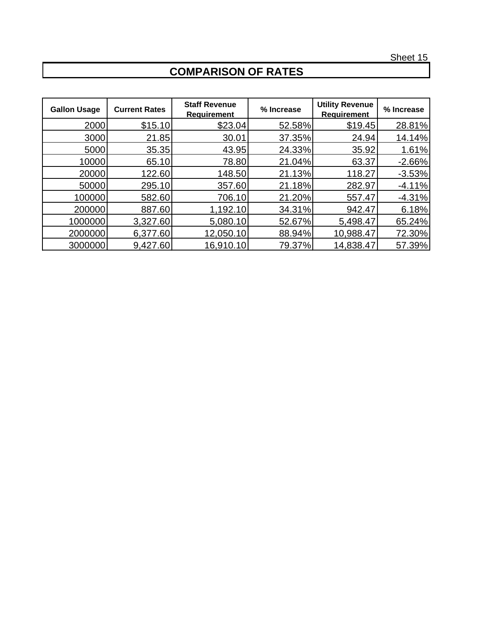# **COMPARISON OF RATES**

| <b>Gallon Usage</b> | <b>Current Rates</b> | <b>Staff Revenue</b><br><b>Requirement</b> | % Increase | <b>Utility Revenue</b><br><b>Requirement</b> | % Increase |
|---------------------|----------------------|--------------------------------------------|------------|----------------------------------------------|------------|
| 2000                | \$15.10              | \$23.04                                    | 52.58%     | \$19.45                                      | 28.81%     |
| 3000                | 21.85                | 30.01                                      | 37.35%     | 24.94                                        | 14.14%     |
| 5000                | 35.35                | 43.95                                      | 24.33%     | 35.92                                        | 1.61%      |
| 10000               | 65.10                | 78.80                                      | 21.04%     | 63.37                                        | $-2.66%$   |
| 20000               | 122.60               | 148.50                                     | 21.13%     | 118.27                                       | $-3.53%$   |
| 50000               | 295.10               | 357.60                                     | 21.18%     | 282.97                                       | $-4.11%$   |
| 100000              | 582.60               | 706.10                                     | 21.20%     | 557.47                                       | $-4.31%$   |
| 200000              | 887.60               | 1,192.10                                   | 34.31%     | 942.47                                       | 6.18%      |
| 1000000             | 3,327.60             | 5,080.10                                   | 52.67%     | 5,498.47                                     | 65.24%     |
| 2000000             | 6,377.60             | 12,050.10                                  | 88.94%     | 10,988.47                                    | 72.30%     |
| 3000000             | 9,427.60             | 16,910.10                                  | 79.37%     | 14,838.47                                    | 57.39%     |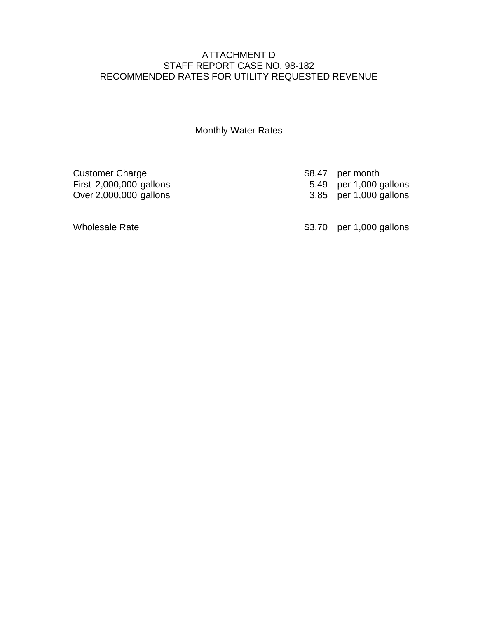### ATTACHMENT D STAFF REPORT CASE NO. 98-182 RECOMMENDED RATES FOR UTILITY REQUESTED REVENUE

### **Monthly Water Rates**

Customer Charge **\$8.47** per month<br>First 2,000,000 gallons **\$8.47** per 1,000 gallons

First 2,000,000 gallons 5.49 per 1,000 gallons 5.49 per 1,000 gallons 5.49 per 1,000 gallons 3.85 per 1,000 gallons

Wholesale Rate **\$3.70** per 1,000 gallons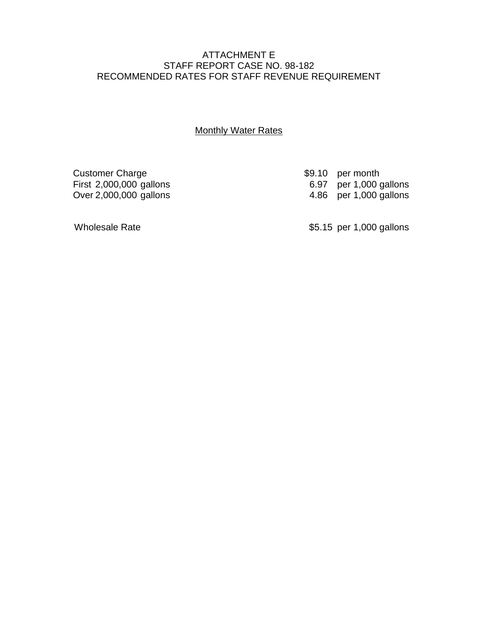### ATTACHMENT E STAFF REPORT CASE NO. 98-182 RECOMMENDED RATES FOR STAFF REVENUE REQUIREMENT

### **Monthly Water Rates**

Customer Charge \$9.10 per month<br>First 2,000,000 gallons \$9.10 per 1,000 gallons

First 2,000,000 gallons 6.97 per 1,000 gallons 6.97 per 1,000 gallons 6.97 per 1,000 gallons 4.86 per 1,000 gallons

Wholesale Rate **\$5.15** per 1,000 gallons